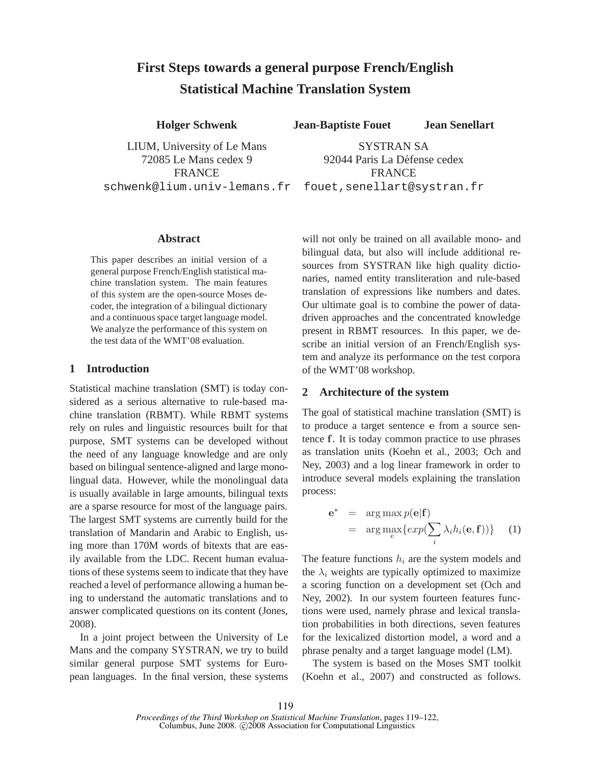# **First Steps towards a general purpose French/English Statistical Machine Translation System**

**Holger Schwenk**

LIUM, University of Le Mans 72085 Le Mans cedex 9 **FRANCE** schwenk@lium.univ-lemans.fr

**Jean-Baptiste Fouet Jean Senellart**

SYSTRAN SA 92044 Paris La Défense cedex **FRANCE** fouet,senellart@systran.fr

#### **Abstract**

This paper describes an initial version of a general purpose French/English statistical machine translation system. The main features of this system are the open-source Moses decoder, the integration of a bilingual dictionary and a continuous space target language model. We analyze the performance of this system on the test data of the WMT'08 evaluation.

## **1 Introduction**

Statistical machine translation (SMT) is today considered as a serious alternative to rule-based machine translation (RBMT). While RBMT systems rely on rules and linguistic resources built for that purpose, SMT systems can be developed without the need of any language knowledge and are only based on bilingual sentence-aligned and large monolingual data. However, while the monolingual data is usually available in large amounts, bilingual texts are a sparse resource for most of the language pairs. The largest SMT systems are currently build for the translation of Mandarin and Arabic to English, using more than 170M words of bitexts that are easily available from the LDC. Recent human evaluations of these systems seem to indicate that they have reached a level of performance allowing a human being to understand the automatic translations and to answer complicated questions on its content (Jones, 2008).

In a joint project between the University of Le Mans and the company SYSTRAN, we try to build similar general purpose SMT systems for European languages. In the final version, these systems will not only be trained on all available mono- and bilingual data, but also will include additional resources from SYSTRAN like high quality dictionaries, named entity transliteration and rule-based translation of expressions like numbers and dates. Our ultimate goal is to combine the power of datadriven approaches and the concentrated knowledge present in RBMT resources. In this paper, we describe an initial version of an French/English system and analyze its performance on the test corpora of the WMT'08 workshop.

# **2 Architecture of the system**

The goal of statistical machine translation (SMT) is to produce a target sentence e from a source sentence f. It is today common practice to use phrases as translation units (Koehn et al., 2003; Och and Ney, 2003) and a log linear framework in order to introduce several models explaining the translation process:

$$
\mathbf{e}^* = \arg \max_{e} p(\mathbf{e}|\mathbf{f}) \n= \arg \max_{e} \{ exp(\sum_{i} \lambda_i h_i(\mathbf{e}, \mathbf{f})) \} \quad (1)
$$

The feature functions  $h_i$  are the system models and the  $\lambda_i$  weights are typically optimized to maximize a scoring function on a development set (Och and Ney, 2002). In our system fourteen features functions were used, namely phrase and lexical translation probabilities in both directions, seven features for the lexicalized distortion model, a word and a phrase penalty and a target language model (LM).

The system is based on the Moses SMT toolkit (Koehn et al., 2007) and constructed as follows.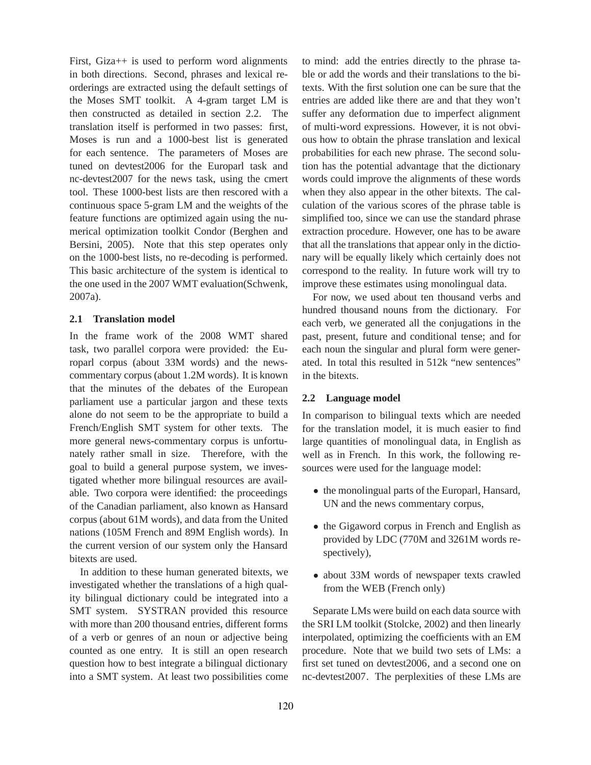First, Giza++ is used to perform word alignments in both directions. Second, phrases and lexical reorderings are extracted using the default settings of the Moses SMT toolkit. A 4-gram target LM is then constructed as detailed in section 2.2. The translation itself is performed in two passes: first, Moses is run and a 1000-best list is generated for each sentence. The parameters of Moses are tuned on devtest2006 for the Europarl task and nc-devtest2007 for the news task, using the cmert tool. These 1000-best lists are then rescored with a continuous space 5-gram LM and the weights of the feature functions are optimized again using the numerical optimization toolkit Condor (Berghen and Bersini, 2005). Note that this step operates only on the 1000-best lists, no re-decoding is performed. This basic architecture of the system is identical to the one used in the 2007 WMT evaluation(Schwenk, 2007a).

# **2.1 Translation model**

In the frame work of the 2008 WMT shared task, two parallel corpora were provided: the Europarl corpus (about 33M words) and the newscommentary corpus (about 1.2M words). It is known that the minutes of the debates of the European parliament use a particular jargon and these texts alone do not seem to be the appropriate to build a French/English SMT system for other texts. The more general news-commentary corpus is unfortunately rather small in size. Therefore, with the goal to build a general purpose system, we investigated whether more bilingual resources are available. Two corpora were identified: the proceedings of the Canadian parliament, also known as Hansard corpus (about 61M words), and data from the United nations (105M French and 89M English words). In the current version of our system only the Hansard bitexts are used.

In addition to these human generated bitexts, we investigated whether the translations of a high quality bilingual dictionary could be integrated into a SMT system. SYSTRAN provided this resource with more than 200 thousand entries, different forms of a verb or genres of an noun or adjective being counted as one entry. It is still an open research question how to best integrate a bilingual dictionary into a SMT system. At least two possibilities come

to mind: add the entries directly to the phrase table or add the words and their translations to the bitexts. With the first solution one can be sure that the entries are added like there are and that they won't suffer any deformation due to imperfect alignment of multi-word expressions. However, it is not obvious how to obtain the phrase translation and lexical probabilities for each new phrase. The second solution has the potential advantage that the dictionary words could improve the alignments of these words when they also appear in the other bitexts. The calculation of the various scores of the phrase table is simplified too, since we can use the standard phrase extraction procedure. However, one has to be aware that all the translations that appear only in the dictionary will be equally likely which certainly does not correspond to the reality. In future work will try to improve these estimates using monolingual data.

For now, we used about ten thousand verbs and hundred thousand nouns from the dictionary. For each verb, we generated all the conjugations in the past, present, future and conditional tense; and for each noun the singular and plural form were generated. In total this resulted in 512k "new sentences" in the bitexts.

## **2.2 Language model**

In comparison to bilingual texts which are needed for the translation model, it is much easier to find large quantities of monolingual data, in English as well as in French. In this work, the following resources were used for the language model:

- the monolingual parts of the Europarl, Hansard, UN and the news commentary corpus,
- the Gigaword corpus in French and English as provided by LDC (770M and 3261M words respectively),
- about 33M words of newspaper texts crawled from the WEB (French only)

Separate LMs were build on each data source with the SRI LM toolkit (Stolcke, 2002) and then linearly interpolated, optimizing the coefficients with an EM procedure. Note that we build two sets of LMs: a first set tuned on devtest2006, and a second one on nc-devtest2007. The perplexities of these LMs are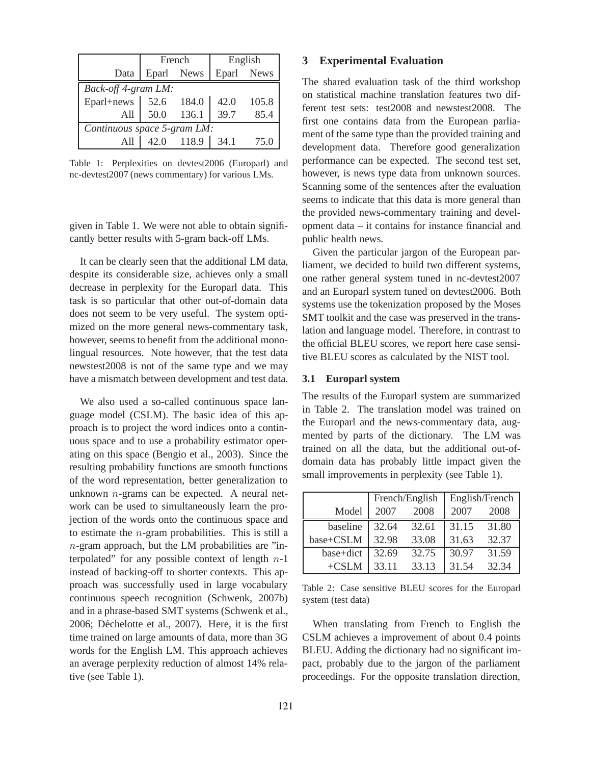|                             | French |            | English    |       |  |  |  |
|-----------------------------|--------|------------|------------|-------|--|--|--|
| Data                        |        | Eparl News | Eparl News |       |  |  |  |
| Back-off 4-gram LM:         |        |            |            |       |  |  |  |
| Eparl+news                  | 52.6   | 184.0      | 42.0       | 105.8 |  |  |  |
| A11                         | 50.0   | 136.1      | 39.7       | 85.4  |  |  |  |
| Continuous space 5-gram LM: |        |            |            |       |  |  |  |
|                             |        | 42.0 118.9 | 34.1       | 75.0  |  |  |  |

Table 1: Perplexities on devtest2006 (Europarl) and nc-devtest2007 (news commentary) for various LMs.

given in Table 1. We were not able to obtain significantly better results with 5-gram back-off LMs.

It can be clearly seen that the additional LM data, despite its considerable size, achieves only a small decrease in perplexity for the Europarl data. This task is so particular that other out-of-domain data does not seem to be very useful. The system optimized on the more general news-commentary task, however, seems to benefit from the additional monolingual resources. Note however, that the test data newstest2008 is not of the same type and we may have a mismatch between development and test data.

We also used a so-called continuous space language model (CSLM). The basic idea of this approach is to project the word indices onto a continuous space and to use a probability estimator operating on this space (Bengio et al., 2003). Since the resulting probability functions are smooth functions of the word representation, better generalization to unknown n-grams can be expected. A neural network can be used to simultaneously learn the projection of the words onto the continuous space and to estimate the n-gram probabilities. This is still a n-gram approach, but the LM probabilities are "interpolated" for any possible context of length  $n-1$ instead of backing-off to shorter contexts. This approach was successfully used in large vocabulary continuous speech recognition (Schwenk, 2007b) and in a phrase-based SMT systems (Schwenk et al., 2006; Déchelotte et al., 2007). Here, it is the first time trained on large amounts of data, more than 3G words for the English LM. This approach achieves an average perplexity reduction of almost 14% relative (see Table 1).

## **3 Experimental Evaluation**

The shared evaluation task of the third workshop on statistical machine translation features two different test sets: test2008 and newstest2008. The first one contains data from the European parliament of the same type than the provided training and development data. Therefore good generalization performance can be expected. The second test set, however, is news type data from unknown sources. Scanning some of the sentences after the evaluation seems to indicate that this data is more general than the provided news-commentary training and development data – it contains for instance financial and public health news.

Given the particular jargon of the European parliament, we decided to build two different systems, one rather general system tuned in nc-devtest2007 and an Europarl system tuned on devtest2006. Both systems use the tokenization proposed by the Moses SMT toolkit and the case was preserved in the translation and language model. Therefore, in contrast to the official BLEU scores, we report here case sensitive BLEU scores as calculated by the NIST tool.

#### **3.1 Europarl system**

The results of the Europarl system are summarized in Table 2. The translation model was trained on the Europarl and the news-commentary data, augmented by parts of the dictionary. The LM was trained on all the data, but the additional out-ofdomain data has probably little impact given the small improvements in perplexity (see Table 1).

|           | French/English |       | English/French |       |
|-----------|----------------|-------|----------------|-------|
| Model     | 2007           | 2008  | 2007           | 2008  |
| baseline  | 32.64          | 32.61 | 31.15          | 31.80 |
| base+CSLM | 32.98          | 33.08 | 31.63          | 32.37 |
| base+dict | 32.69          | 32.75 | 30.97          | 31.59 |
| $+CSLM$   | 33.11          | 33.13 | 31.54          | 32.34 |

Table 2: Case sensitive BLEU scores for the Europarl system (test data)

When translating from French to English the CSLM achieves a improvement of about 0.4 points BLEU. Adding the dictionary had no significant impact, probably due to the jargon of the parliament proceedings. For the opposite translation direction,